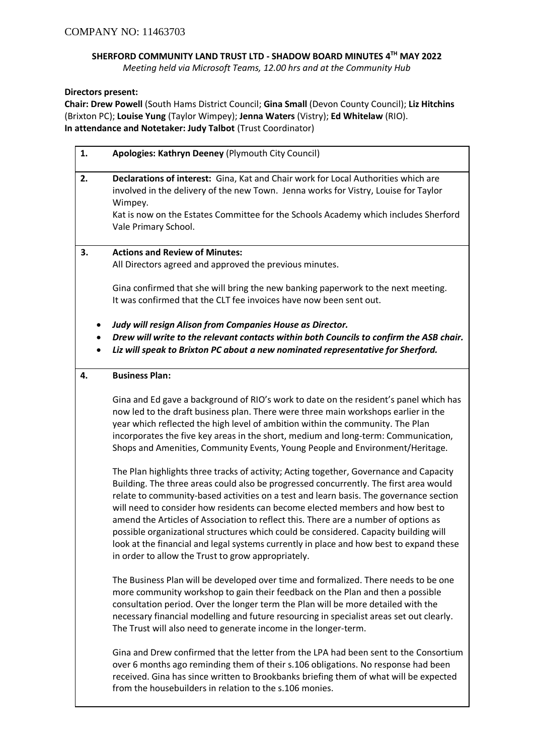## **SHERFORD COMMUNITY LAND TRUST LTD - SHADOW BOARD MINUTES 4 TH MAY 2022**

*Meeting held via Microsoft Teams, 12.00 hrs and at the Community Hub*

## **Directors present:**

**Chair: Drew Powell** (South Hams District Council; **Gina Small** (Devon County Council); **Liz Hitchins** (Brixton PC); **Louise Yung** (Taylor Wimpey); **Jenna Waters** (Vistry); **Ed Whitelaw** (RIO). **In attendance and Notetaker: Judy Talbot** (Trust Coordinator)

| 1. | Apologies: Kathryn Deeney (Plymouth City Council)                                                                                                                                                                                                                                                                                                                                                                                                                                                                                                                                                 |
|----|---------------------------------------------------------------------------------------------------------------------------------------------------------------------------------------------------------------------------------------------------------------------------------------------------------------------------------------------------------------------------------------------------------------------------------------------------------------------------------------------------------------------------------------------------------------------------------------------------|
| 2. | Declarations of interest: Gina, Kat and Chair work for Local Authorities which are<br>involved in the delivery of the new Town. Jenna works for Vistry, Louise for Taylor<br>Wimpey.<br>Kat is now on the Estates Committee for the Schools Academy which includes Sherford<br>Vale Primary School.                                                                                                                                                                                                                                                                                               |
| 3. | <b>Actions and Review of Minutes:</b><br>All Directors agreed and approved the previous minutes.                                                                                                                                                                                                                                                                                                                                                                                                                                                                                                  |
|    | Gina confirmed that she will bring the new banking paperwork to the next meeting.<br>It was confirmed that the CLT fee invoices have now been sent out.                                                                                                                                                                                                                                                                                                                                                                                                                                           |
|    | Judy will resign Alison from Companies House as Director.<br>Drew will write to the relevant contacts within both Councils to confirm the ASB chair.<br>Liz will speak to Brixton PC about a new nominated representative for Sherford.                                                                                                                                                                                                                                                                                                                                                           |
| 4. | <b>Business Plan:</b>                                                                                                                                                                                                                                                                                                                                                                                                                                                                                                                                                                             |
|    | Gina and Ed gave a background of RIO's work to date on the resident's panel which has<br>now led to the draft business plan. There were three main workshops earlier in the<br>year which reflected the high level of ambition within the community. The Plan<br>incorporates the five key areas in the short, medium and long-term: Communication,<br>Shops and Amenities, Community Events, Young People and Environment/Heritage.<br>The Plan highlights three tracks of activity; Acting together, Governance and Capacity                                                                    |
|    | Building. The three areas could also be progressed concurrently. The first area would<br>relate to community-based activities on a test and learn basis. The governance section<br>will need to consider how residents can become elected members and how best to<br>amend the Articles of Association to reflect this. There are a number of options as<br>possible organizational structures which could be considered. Capacity building will<br>look at the financial and legal systems currently in place and how best to expand these<br>in order to allow the Trust to grow appropriately. |
|    | The Business Plan will be developed over time and formalized. There needs to be one<br>more community workshop to gain their feedback on the Plan and then a possible<br>consultation period. Over the longer term the Plan will be more detailed with the<br>necessary financial modelling and future resourcing in specialist areas set out clearly.<br>The Trust will also need to generate income in the longer-term.                                                                                                                                                                         |
|    | Gina and Drew confirmed that the letter from the LPA had been sent to the Consortium<br>over 6 months ago reminding them of their s.106 obligations. No response had been<br>received. Gina has since written to Brookbanks briefing them of what will be expected<br>from the housebuilders in relation to the s.106 monies.                                                                                                                                                                                                                                                                     |